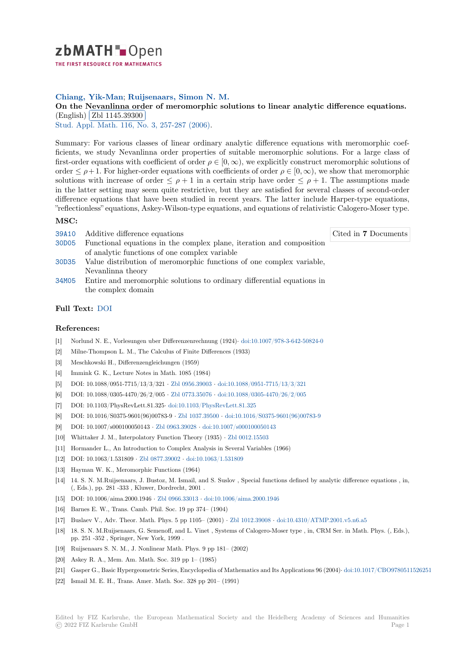

THE FIRST RESOURCE FOR MATHEMATICS

## **Chiang, Yik-Man**; **Ruijsenaars, Simon N. M.**

[O](https://zbmath.org/)n the Nevanlinna order of meromorphic solutions to linear analytic difference equations. (English) Zbl 1145.39300

✂ ✁ Stud. Appl. Math. 116, No. 3, 257-287 (2006).

[Summary: For various classes of linear ordinary analytic difference equations with meromorphic coef](https://zbmath.org/1145.39300)ficients, [we study Nevanlin](https://zbmath.org/1145.39300)na order properties of suitable meromorphic solutions. For a large class of [first-order equation](https://zbmath.org/journals/?q=se:724)[s with coefficient of order](https://zbmath.org/?q=in:232150)  $\rho \in [0, \infty)$ , we explicitly construct meromorphic solutions of order  $\leq \rho + 1$ . For higher-order equations with coefficients of order  $\rho \in [0, \infty)$ , we show that meromorphic solutions with increase of order  $\leq \rho + 1$  in a certain strip have order  $\leq \rho + 1$ . The assumptions made in the latter setting may seem quite restrictive, but they are satisfied for several classes of second-order difference equations that have been studied in recent years. The latter include Harper-type equations, "reflectionless" equations, Askey-Wilson-type equations, and equations of relativistic Calogero-Moser type.

## **MSC:**

39A10 Additive difference equations

Cited in **7** Documents

- 30D05 Functional equations in the complex plane, iteration and composition of analytic functions of one complex variable
- 30D35 Value distribution of meromorphic functions of one complex variable, Nevanlinna theory
- [34M05](https://zbmath.org/classification/?q=cc:30D05) Entire and meromorphic solutions to ordinary differential equations in the complex domain

## **[Full T](https://zbmath.org/classification/?q=cc:30D35)ext:** DOI

## **[Refer](https://zbmath.org/classification/?q=cc:34M05)ences:**

- [1] Norlund N. E., Vorlesungen uber Differenzenrechnung (1924)*·* doi:10.1007/978-3-642-50824-0
- [2] Milne-Th[ompso](https://dx.doi.org/10.1111/j.1467-9590.2006.00343.x)n L. M., The Calculus of Finite Differences (1933)
- [3] Meschkowski H., Differenzengleichungen (1959)
- [4] Immink G. K., Lecture Notes in Math. 1085 (1984)
- [5] DOI: 10.1088/0951-7715/13/3/321 *·* Zbl 0956.39003 *·* doi:10.1[088/0951-7715/13/3/321](https://dx.doi.org/10.1007/978-3-642-50824-0)
- [6] DOI: 10.1088/0305-4470/26/2/005 *·* Zbl 0773.35076 *·* doi:10.1088/0305-4470/26/2/005
- [7] DOI: 10.1103/PhysRevLett.81.325*·* doi:10.1103/PhysRevLett.81.325
- [8] DOI: 10.1016/S0375-9601(96)00783-9 *·* Zbl 1037.39500 *·* doi:10.1016/S0375-9601(96)00783-9
- [9] DOI: 10.1007/s000100050143 *·* Zbl0[963.39028](https://zbmath.org/0956.39003) *·* doi:1[0.1007/s000100050143](https://dx.doi.org/10.1088/0951-7715/13/3/321)
- [10] Whittaker J. M., Interpolatory Func[tion Theory \(19](https://zbmath.org/0773.35076)35) *·* [Zbl 0012.15503](https://dx.doi.org/10.1088/0305-4470/26/2/005)
- [11] Hormander L., An Introduction to [Complex Analysis in Several Var](https://dx.doi.org/10.1103/PhysRevLett.81.325)iables (1966)
- [12] DOI: 10.1063/1.531809 *·* Zbl 0877.39002 *·* [doi:10.1063/](https://zbmath.org/1037.39500)[1.](https://dx.doi.org/10.1007/s000100050143)[531809](https://dx.doi.org/10.1016/S0375-9601(96)00783-9)
- [13] Hayman W. K., Meromorphic [Functions \(1964](https://zbmath.org/0963.39028))
- [14] 14. S. N. M.Ruijsenaars, J. Bustoz, M. Ismail, and S. Sus[lov , Special fun](https://zbmath.org/0012.15503)ctions defined by analytic difference equations , in, (, Eds.), pp. 281 -333 , Kluwer, Dordrecht, 2001 .
- [15] DOI: 10.1006/aima.2000.1946 *·* [Zbl 0966](https://zbmath.org/0877.39002).33013 *·* [doi:10.1006/aim](https://dx.doi.org/10.1063/1.531809)a.2000.1946
- [16] Barnes E. W., Trans. Camb. Phil. Soc. 19 pp 374– (1904)
- [17] Buslaev V., Adv. Theor. Math. Phys. 5 pp 1105– (2001) *·* Zbl 1012.39008 *·* doi:10.4310/ATMP.2001.v5.n6.a5
- [18] 18. S. N. M.Ruijsenaars, G. Semenoff, and L. Vin[et , Systems of Calogero-Mo](https://dx.doi.org/10.1006/aima.2000.1946)ser type , in, CRM Ser. in Math. Phys. (, Eds.), pp. 251 -352 , Springer, New Y[ork, 1999 .](https://zbmath.org/0966.33013)
- [19] Ruijsenaars S. N. M., J. Nonlinear Math. Phys. 9 pp 181– (2002)
- [20] Askey R. A., Mem. Am. Math. Soc. 319 pp 1– (1985)
- [21] Gasper G., Basic Hypergeometric Series, Encyclopedia of Mathematics and Its Applications 96 (2004)*·* doi:10.1017/CBO9780511526251
- [22] Ismail M. E. H., Trans. Amer. Math. Soc. 328 pp 201– (1991)